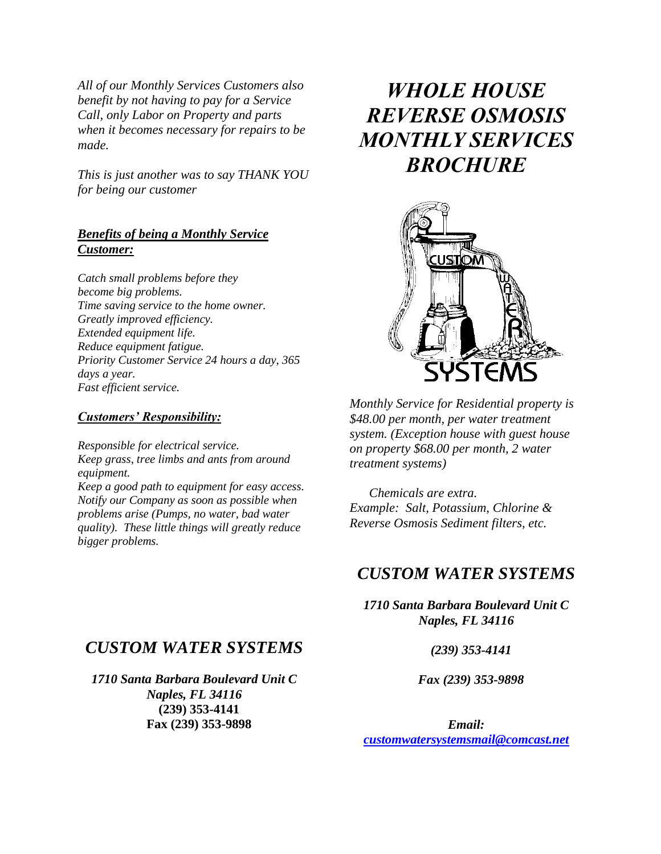*All of our Monthly Services Customers also benefit by not having to pay for a Service Call, only Labor on Property and parts when it becomes necessary for repairs to be made.* 

*This is just another was to say THANK YOU for being our customer* 

#### *Benefits of being a Monthly Service Customer:*

*Catch small problems before they become big problems. Time saving service to the home owner. Greatly improved efficiency. Extended equipment life. Reduce equipment fatigue. Priority Customer Service 24 hours a day, 365 days a year. Fast efficient service.*

#### *Customers' Responsibility:*

*Responsible for electrical service. Keep grass, tree limbs and ants from around equipment. Keep a good path to equipment for easy access. Notify our Company as soon as possible when problems arise (Pumps, no water, bad water quality). These little things will greatly reduce bigger problems.*

#### *CUSTOM WATER SYSTEMS*

*1710 Santa Barbara Boulevard Unit C Naples, FL 34116*  **(239) 353-4141 Fax (239) 353-9898**

# *WHOLE HOUSE REVERSE OSMOSIS MONTHLY SERVICES BROCHURE*



*Monthly Service for Residential property is \$48.00 per month, per water treatment system. (Exception house with guest house on property \$68.00 per month, 2 water treatment systems)*

 *Chemicals are extra. Example: Salt, Potassium, Chlorine & Reverse Osmosis Sediment filters, etc.*

#### *CUSTOM WATER SYSTEMS*

*1710 Santa Barbara Boulevard Unit C Naples, FL 34116*

 *(239) 353-4141*

 *Fax (239) 353-9898*

*Email: [customwatersystemsmail@comcast.net](mailto:customwatersystemsmail@comcast.net)*